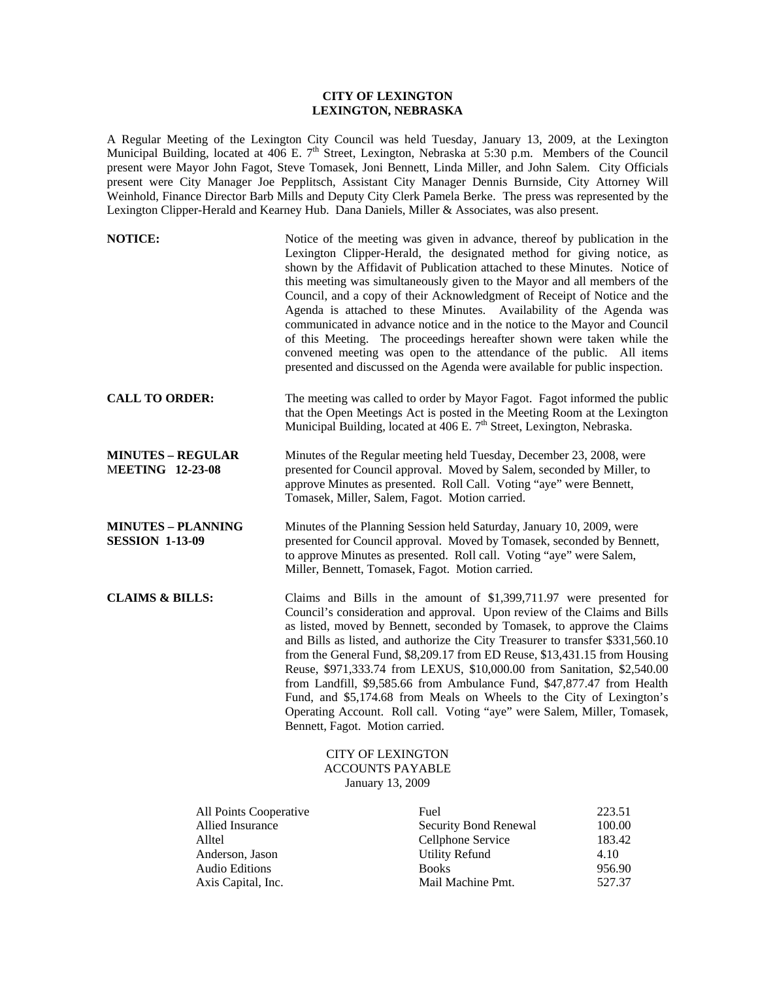## **CITY OF LEXINGTON LEXINGTON, NEBRASKA**

A Regular Meeting of the Lexington City Council was held Tuesday, January 13, 2009, at the Lexington Municipal Building, located at 406 E. 7<sup>th</sup> Street, Lexington, Nebraska at 5:30 p.m. Members of the Council present were Mayor John Fagot, Steve Tomasek, Joni Bennett, Linda Miller, and John Salem. City Officials present were City Manager Joe Pepplitsch, Assistant City Manager Dennis Burnside, City Attorney Will Weinhold, Finance Director Barb Mills and Deputy City Clerk Pamela Berke. The press was represented by the Lexington Clipper-Herald and Kearney Hub. Dana Daniels, Miller & Associates, was also present.

| <b>NOTICE:</b>                                                                                                         |                                                                                                                                                                                                                                                                                                                                                                                                                                                                                                                                                                                                                                                                                                                                       | Notice of the meeting was given in advance, thereof by publication in the<br>Lexington Clipper-Herald, the designated method for giving notice, as<br>shown by the Affidavit of Publication attached to these Minutes. Notice of<br>this meeting was simultaneously given to the Mayor and all members of the<br>Council, and a copy of their Acknowledgment of Receipt of Notice and the<br>Agenda is attached to these Minutes. Availability of the Agenda was<br>communicated in advance notice and in the notice to the Mayor and Council<br>of this Meeting. The proceedings hereafter shown were taken while the<br>convened meeting was open to the attendance of the public. All items<br>presented and discussed on the Agenda were available for public inspection. |                                                        |
|------------------------------------------------------------------------------------------------------------------------|---------------------------------------------------------------------------------------------------------------------------------------------------------------------------------------------------------------------------------------------------------------------------------------------------------------------------------------------------------------------------------------------------------------------------------------------------------------------------------------------------------------------------------------------------------------------------------------------------------------------------------------------------------------------------------------------------------------------------------------|-------------------------------------------------------------------------------------------------------------------------------------------------------------------------------------------------------------------------------------------------------------------------------------------------------------------------------------------------------------------------------------------------------------------------------------------------------------------------------------------------------------------------------------------------------------------------------------------------------------------------------------------------------------------------------------------------------------------------------------------------------------------------------|--------------------------------------------------------|
| <b>CALL TO ORDER:</b>                                                                                                  |                                                                                                                                                                                                                                                                                                                                                                                                                                                                                                                                                                                                                                                                                                                                       | The meeting was called to order by Mayor Fagot. Fagot informed the public<br>that the Open Meetings Act is posted in the Meeting Room at the Lexington<br>Municipal Building, located at 406 E. 7 <sup>th</sup> Street, Lexington, Nebraska.                                                                                                                                                                                                                                                                                                                                                                                                                                                                                                                                  |                                                        |
| <b>MINUTES - REGULAR</b><br><b>MEETING 12-23-08</b>                                                                    |                                                                                                                                                                                                                                                                                                                                                                                                                                                                                                                                                                                                                                                                                                                                       | Minutes of the Regular meeting held Tuesday, December 23, 2008, were<br>presented for Council approval. Moved by Salem, seconded by Miller, to<br>approve Minutes as presented. Roll Call. Voting "aye" were Bennett,<br>Tomasek, Miller, Salem, Fagot. Motion carried.                                                                                                                                                                                                                                                                                                                                                                                                                                                                                                       |                                                        |
| <b>MINUTES - PLANNING</b><br><b>SESSION 1-13-09</b>                                                                    | Minutes of the Planning Session held Saturday, January 10, 2009, were<br>presented for Council approval. Moved by Tomasek, seconded by Bennett,<br>to approve Minutes as presented. Roll call. Voting "aye" were Salem,<br>Miller, Bennett, Tomasek, Fagot. Motion carried.                                                                                                                                                                                                                                                                                                                                                                                                                                                           |                                                                                                                                                                                                                                                                                                                                                                                                                                                                                                                                                                                                                                                                                                                                                                               |                                                        |
| <b>CLAIMS &amp; BILLS:</b>                                                                                             | Claims and Bills in the amount of \$1,399,711.97 were presented for<br>Council's consideration and approval. Upon review of the Claims and Bills<br>as listed, moved by Bennett, seconded by Tomasek, to approve the Claims<br>and Bills as listed, and authorize the City Treasurer to transfer \$331,560.10<br>from the General Fund, \$8,209.17 from ED Reuse, \$13,431.15 from Housing<br>Reuse, \$971,333.74 from LEXUS, \$10,000.00 from Sanitation, \$2,540.00<br>from Landfill, \$9,585.66 from Ambulance Fund, \$47,877.47 from Health<br>Fund, and \$5,174.68 from Meals on Wheels to the City of Lexington's<br>Operating Account. Roll call. Voting "aye" were Salem, Miller, Tomasek,<br>Bennett, Fagot. Motion carried. |                                                                                                                                                                                                                                                                                                                                                                                                                                                                                                                                                                                                                                                                                                                                                                               |                                                        |
|                                                                                                                        |                                                                                                                                                                                                                                                                                                                                                                                                                                                                                                                                                                                                                                                                                                                                       | <b>CITY OF LEXINGTON</b><br><b>ACCOUNTS PAYABLE</b><br>January 13, 2009                                                                                                                                                                                                                                                                                                                                                                                                                                                                                                                                                                                                                                                                                                       |                                                        |
| All Points Cooperative<br>Allied Insurance<br>Alltel<br>Anderson, Jason<br><b>Audio Editions</b><br>Axis Capital, Inc. |                                                                                                                                                                                                                                                                                                                                                                                                                                                                                                                                                                                                                                                                                                                                       | Fuel<br>Security Bond Renewal<br>Cellphone Service<br><b>Utility Refund</b><br><b>Books</b><br>Mail Machine Pmt.                                                                                                                                                                                                                                                                                                                                                                                                                                                                                                                                                                                                                                                              | 223.51<br>100.00<br>183.42<br>4.10<br>956.90<br>527.37 |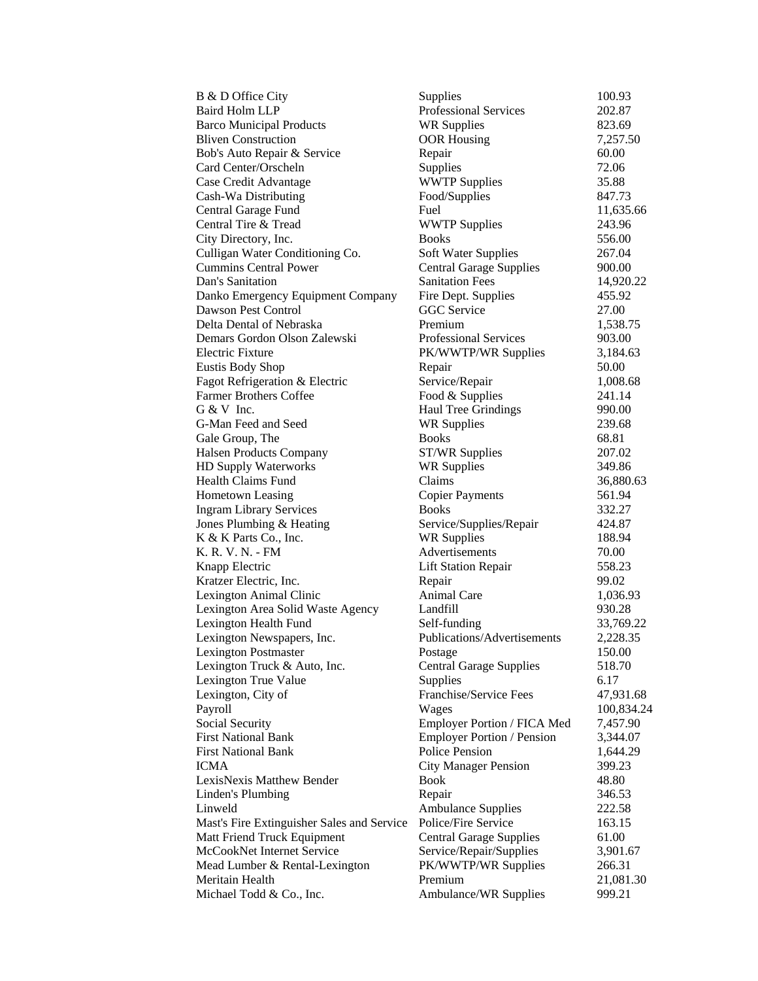| B & D Office City                                         | Supplies                                       | 100.93              |
|-----------------------------------------------------------|------------------------------------------------|---------------------|
| Baird Holm LLP                                            | <b>Professional Services</b>                   | 202.87              |
| <b>Barco Municipal Products</b>                           | <b>WR Supplies</b>                             | 823.69              |
| <b>Bliven Construction</b>                                | <b>OOR Housing</b>                             | 7,257.50            |
| Bob's Auto Repair & Service                               | Repair                                         | 60.00               |
| Card Center/Orscheln                                      | Supplies                                       | 72.06               |
| Case Credit Advantage                                     | <b>WWTP Supplies</b>                           | 35.88               |
| Cash-Wa Distributing                                      | Food/Supplies                                  | 847.73              |
| Central Garage Fund<br>Central Tire & Tread               | Fuel<br><b>WWTP Supplies</b>                   | 11,635.66<br>243.96 |
| City Directory, Inc.                                      | <b>Books</b>                                   | 556.00              |
| Culligan Water Conditioning Co.                           | <b>Soft Water Supplies</b>                     | 267.04              |
| <b>Cummins Central Power</b>                              | <b>Central Garage Supplies</b>                 | 900.00              |
| Dan's Sanitation                                          | <b>Sanitation Fees</b>                         | 14,920.22           |
| Danko Emergency Equipment Company                         | Fire Dept. Supplies                            | 455.92              |
| Dawson Pest Control                                       | GGC Service                                    | 27.00               |
| Delta Dental of Nebraska                                  | Premium                                        | 1,538.75            |
| Demars Gordon Olson Zalewski                              | <b>Professional Services</b>                   | 903.00              |
| <b>Electric Fixture</b>                                   | PK/WWTP/WR Supplies                            | 3,184.63            |
| <b>Eustis Body Shop</b>                                   | Repair                                         | 50.00               |
| Fagot Refrigeration & Electric                            | Service/Repair                                 | 1,008.68            |
| <b>Farmer Brothers Coffee</b>                             | Food & Supplies                                | 241.14              |
| $G & V$ Inc.                                              | Haul Tree Grindings                            | 990.00              |
| G-Man Feed and Seed                                       | <b>WR Supplies</b>                             | 239.68              |
| Gale Group, The                                           | <b>Books</b>                                   | 68.81               |
| <b>Halsen Products Company</b>                            | <b>ST/WR Supplies</b>                          | 207.02              |
| HD Supply Waterworks                                      | <b>WR Supplies</b>                             | 349.86              |
| <b>Health Claims Fund</b>                                 | Claims                                         | 36,880.63           |
| Hometown Leasing                                          | <b>Copier Payments</b>                         | 561.94              |
| <b>Ingram Library Services</b>                            | <b>Books</b>                                   | 332.27              |
| Jones Plumbing & Heating                                  | Service/Supplies/Repair                        | 424.87              |
| K & K Parts Co., Inc.                                     | <b>WR Supplies</b>                             | 188.94              |
| K. R. V. N. - FM                                          | Advertisements                                 | 70.00               |
| Knapp Electric                                            | <b>Lift Station Repair</b>                     | 558.23              |
| Kratzer Electric, Inc.                                    | Repair                                         | 99.02               |
| Lexington Animal Clinic                                   | Animal Care                                    | 1,036.93            |
| Lexington Area Solid Waste Agency                         | Landfill                                       | 930.28              |
| Lexington Health Fund                                     | Self-funding                                   | 33,769.22           |
| Lexington Newspapers, Inc.                                | Publications/Advertisements                    | 2,228.35            |
| <b>Lexington Postmaster</b>                               | Postage                                        | 150.00              |
| Lexington Truck & Auto, Inc.                              | <b>Central Garage Supplies</b>                 | 518.70              |
| Lexington True Value                                      | Supplies                                       | 6.17                |
| Lexington, City of                                        | Franchise/Service Fees                         | 47,931.68           |
| Payroll                                                   | Wages                                          | 100,834.24          |
| Social Security                                           | Employer Portion / FICA Med                    | 7,457.90            |
| <b>First National Bank</b>                                | <b>Employer Portion / Pension</b>              | 3,344.07            |
| <b>First National Bank</b>                                | <b>Police Pension</b>                          | 1,644.29            |
| <b>ICMA</b>                                               | <b>City Manager Pension</b>                    | 399.23              |
| LexisNexis Matthew Bender                                 | <b>Book</b>                                    | 48.80               |
| Linden's Plumbing                                         | Repair                                         | 346.53              |
| Linweld                                                   | <b>Ambulance Supplies</b>                      | 222.58              |
| Mast's Fire Extinguisher Sales and Service                | Police/Fire Service                            | 163.15              |
| Matt Friend Truck Equipment<br>McCookNet Internet Service | <b>Central Garage Supplies</b>                 | 61.00               |
| Mead Lumber & Rental-Lexington                            | Service/Repair/Supplies<br>PK/WWTP/WR Supplies | 3,901.67<br>266.31  |
| Meritain Health                                           | Premium                                        | 21,081.30           |
| Michael Todd & Co., Inc.                                  | Ambulance/WR Supplies                          | 999.21              |
|                                                           |                                                |                     |

| Supplies                             | 100.93            |
|--------------------------------------|-------------------|
| Professional Services                | 202.87            |
| <b>WR Supplies</b>                   | 823.69            |
| <b>OOR Housing</b>                   | 7,257.50          |
| Repair                               | 60.00             |
| Supplies                             | 72.06             |
| <b>WWTP Supplies</b>                 | 35.88             |
| Food/Supplies                        | 847.73            |
| Fuel                                 | 11,635.66         |
| <b>WWTP Supplies</b>                 | 243.96            |
| Books                                | 556.00            |
| Soft Water Supplies                  | 267.04            |
| Central Garage Supplies              | 900.00            |
| Sanitation Fees                      | 14,920.22         |
| Fire Dept. Supplies                  | 455.92            |
| <b>GGC</b> Service                   | 27.00             |
| Premium                              | 1,538.75          |
| Professional Services                | 903.00            |
| PK/WWTP/WR Supplies                  | 3,184.63          |
| Repair                               | 50.00             |
| Service/Repair                       | 1,008.68          |
| Food & Supplies                      | 241.14            |
| Haul Tree Grindings                  | 990.00            |
| <b>WR Supplies</b>                   | 239.68            |
| <b>Books</b>                         | 68.81             |
| <b>ST/WR Supplies</b>                | 207.02            |
| <b>WR Supplies</b>                   | 349.86            |
| Claims                               | 36,880.63         |
| Copier Payments                      | 561.94            |
| <b>Books</b>                         | 332.27            |
| Service/Supplies/Repair              | 424.87            |
| <b>WR Supplies</b>                   | 188.94            |
| Advertisements                       | 70.00             |
| <b>Lift Station Repair</b><br>Repair | 558.23            |
| <b>Animal Care</b>                   | 99.02<br>1,036.93 |
| Landfill                             | 930.28            |
| Self-funding                         | 33,769.22         |
| Publications/Advertisements          | 2,228.35          |
| Postage                              | 150.00            |
| <b>Central Garage Supplies</b>       | 518.70            |
| Supplies                             | 6.17              |
| Franchise/Service Fees               | 47,931.68         |
| Wages                                | 100,834.2         |
| <b>Employer Portion / FICA Med</b>   | 7,457.90          |
| <b>Employer Portion / Pension</b>    | 3,344.07          |
| Police Pension                       | 1,644.29          |
| City Manager Pension                 | 399.23            |
| Book                                 | 48.80             |
| Repair                               | 346.53            |
| <b>Ambulance Supplies</b>            | 222.58            |
| Police/Fire Service                  | 163.15            |
| Central Garage Supplies              | 61.00             |
| Service/Repair/Supplies              | 3,901.67          |
| PK/WWTP/WR Supplies                  | 266.31            |
| Premium                              | 21,081.30         |
| Ambulance/WR Supplies                | 999.21            |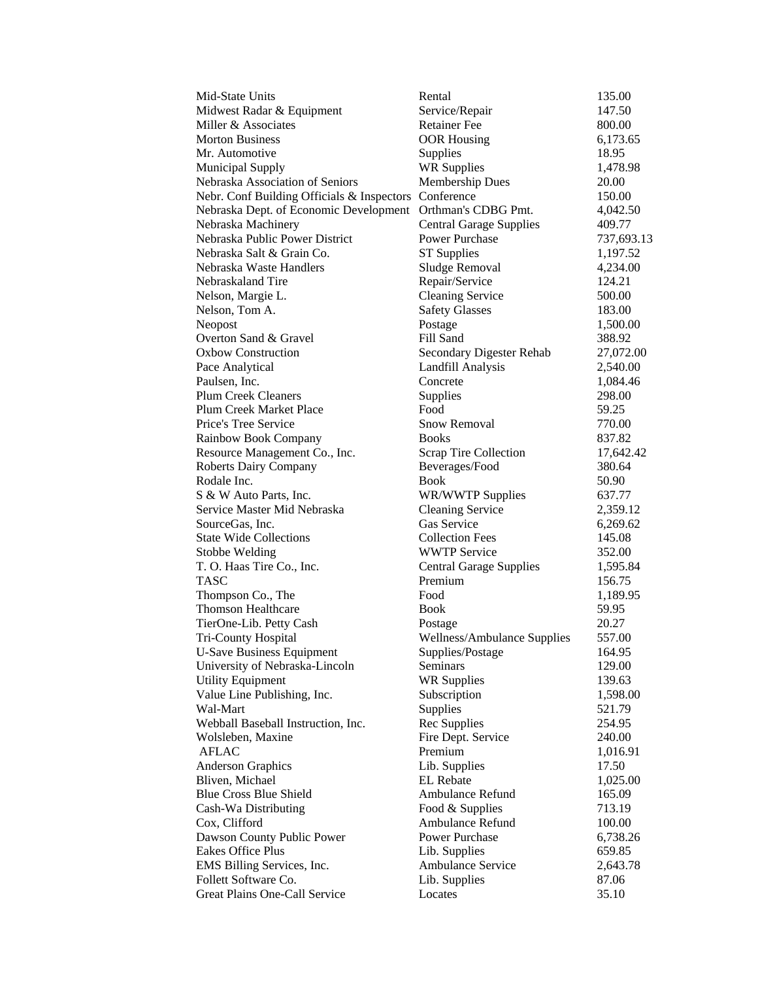| Mid-State Units                                       | Rental                         | 135.00     |
|-------------------------------------------------------|--------------------------------|------------|
| Midwest Radar & Equipment                             | Service/Repair                 | 147.50     |
| Miller & Associates                                   | <b>Retainer Fee</b>            | 800.00     |
| <b>Morton Business</b>                                | <b>OOR Housing</b>             | 6,173.65   |
| Mr. Automotive                                        | Supplies                       | 18.95      |
| <b>Municipal Supply</b>                               | <b>WR Supplies</b>             | 1,478.98   |
| Nebraska Association of Seniors                       | Membership Dues                | 20.00      |
| Nebr. Conf Building Officials & Inspectors Conference |                                | 150.00     |
| Nebraska Dept. of Economic Development                | Orthman's CDBG Pmt.            | 4,042.50   |
| Nebraska Machinery                                    | <b>Central Garage Supplies</b> | 409.77     |
| Nebraska Public Power District                        | <b>Power Purchase</b>          | 737,693.13 |
| Nebraska Salt & Grain Co.                             | <b>ST</b> Supplies             | 1,197.52   |
| Nebraska Waste Handlers                               | Sludge Removal                 | 4,234.00   |
| Nebraskaland Tire                                     | Repair/Service                 | 124.21     |
| Nelson, Margie L.                                     | <b>Cleaning Service</b>        | 500.00     |
| Nelson, Tom A.                                        | <b>Safety Glasses</b>          | 183.00     |
| Neopost                                               | Postage                        | 1,500.00   |
| Overton Sand & Gravel                                 | Fill Sand                      | 388.92     |
| <b>Oxbow Construction</b>                             | Secondary Digester Rehab       | 27,072.00  |
| Pace Analytical                                       | Landfill Analysis              | 2,540.00   |
| Paulsen, Inc.                                         | Concrete                       | 1,084.46   |
| <b>Plum Creek Cleaners</b>                            | Supplies                       | 298.00     |
| Plum Creek Market Place                               | Food                           | 59.25      |
| Price's Tree Service                                  | Snow Removal                   | 770.00     |
| <b>Rainbow Book Company</b>                           | <b>Books</b>                   | 837.82     |
| Resource Management Co., Inc.                         | Scrap Tire Collection          | 17,642.42  |
| <b>Roberts Dairy Company</b>                          | Beverages/Food                 | 380.64     |
| Rodale Inc.                                           | <b>Book</b>                    | 50.90      |
| S & W Auto Parts, Inc.                                | <b>WR/WWTP Supplies</b>        | 637.77     |
| Service Master Mid Nebraska                           | <b>Cleaning Service</b>        | 2,359.12   |
| SourceGas, Inc.                                       | Gas Service                    | 6,269.62   |
| <b>State Wide Collections</b>                         | <b>Collection Fees</b>         | 145.08     |
| Stobbe Welding                                        | <b>WWTP Service</b>            | 352.00     |
| T. O. Haas Tire Co., Inc.                             | <b>Central Garage Supplies</b> | 1,595.84   |
| TASC                                                  | Premium                        | 156.75     |
| Thompson Co., The                                     | Food                           | 1,189.95   |
| <b>Thomson Healthcare</b>                             | <b>Book</b>                    | 59.95      |
| TierOne-Lib. Petty Cash                               | Postage                        | 20.27      |
| Tri-County Hospital                                   | Wellness/Ambulance Supplies    | 557.00     |
| <b>U-Save Business Equipment</b>                      | Supplies/Postage               | 164.95     |
| University of Nebraska-Lincoln                        | <b>Seminars</b>                | 129.00     |
| <b>Utility Equipment</b>                              | <b>WR Supplies</b>             | 139.63     |
| Value Line Publishing, Inc.                           | Subscription                   | 1,598.00   |
| Wal-Mart                                              | Supplies                       | 521.79     |
| Webball Baseball Instruction, Inc.                    | Rec Supplies                   | 254.95     |
| Wolsleben, Maxine                                     | Fire Dept. Service             | 240.00     |
| <b>AFLAC</b>                                          | Premium                        | 1,016.91   |
| <b>Anderson Graphics</b>                              | Lib. Supplies                  | 17.50      |
| Bliven, Michael                                       | <b>EL</b> Rebate               | 1,025.00   |
| <b>Blue Cross Blue Shield</b>                         | Ambulance Refund               | 165.09     |
| Cash-Wa Distributing                                  | Food & Supplies                | 713.19     |
| Cox, Clifford                                         | Ambulance Refund               | 100.00     |
| Dawson County Public Power                            | Power Purchase                 | 6,738.26   |
| <b>Eakes Office Plus</b>                              | Lib. Supplies                  | 659.85     |
| EMS Billing Services, Inc.                            | Ambulance Service              | 2,643.78   |
| Follett Software Co.                                  | Lib. Supplies                  | 87.06      |
| <b>Great Plains One-Call Service</b>                  | Locates                        | 35.10      |
|                                                       |                                |            |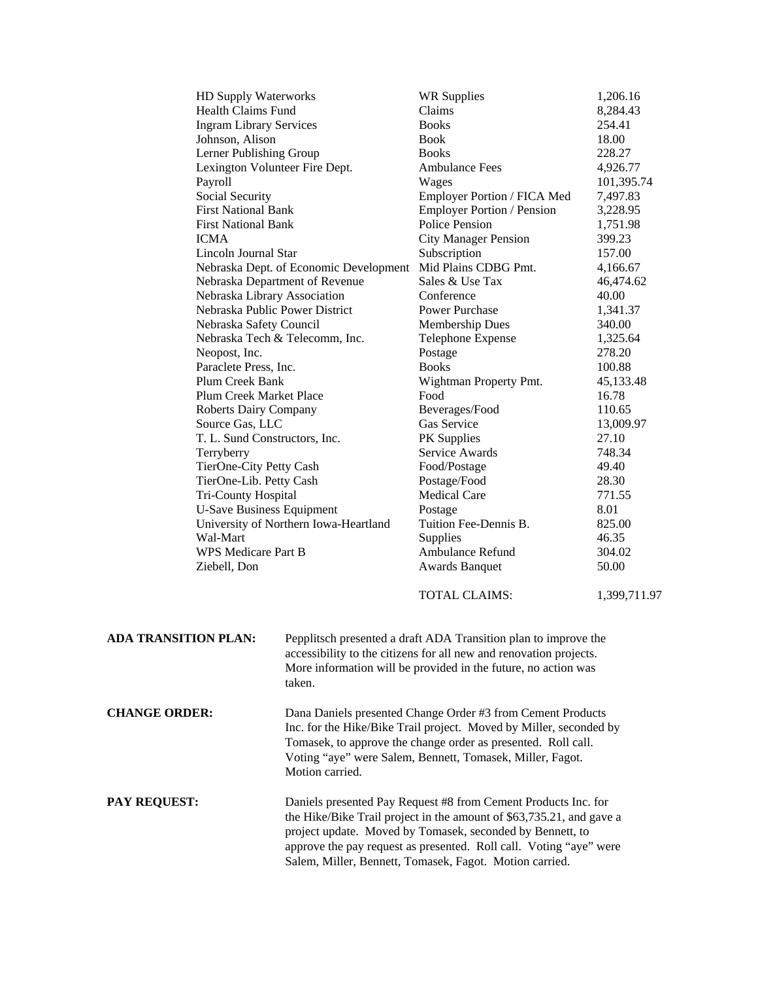| HD Supply Waterworks                                                                                                                                                                                                                                                                                                                                        |                                        | <b>WR Supplies</b>                                                                                                                                                                                      | 1,206.16     |
|-------------------------------------------------------------------------------------------------------------------------------------------------------------------------------------------------------------------------------------------------------------------------------------------------------------------------------------------------------------|----------------------------------------|---------------------------------------------------------------------------------------------------------------------------------------------------------------------------------------------------------|--------------|
| <b>Health Claims Fund</b>                                                                                                                                                                                                                                                                                                                                   |                                        | Claims                                                                                                                                                                                                  | 8,284.43     |
| <b>Ingram Library Services</b>                                                                                                                                                                                                                                                                                                                              |                                        | <b>Books</b>                                                                                                                                                                                            | 254.41       |
| Johnson, Alison                                                                                                                                                                                                                                                                                                                                             |                                        | <b>Book</b>                                                                                                                                                                                             | 18.00        |
| Lerner Publishing Group                                                                                                                                                                                                                                                                                                                                     |                                        | <b>Books</b>                                                                                                                                                                                            | 228.27       |
| Lexington Volunteer Fire Dept.                                                                                                                                                                                                                                                                                                                              |                                        | <b>Ambulance Fees</b>                                                                                                                                                                                   | 4,926.77     |
| Payroll                                                                                                                                                                                                                                                                                                                                                     |                                        | Wages                                                                                                                                                                                                   | 101,395.74   |
| Social Security                                                                                                                                                                                                                                                                                                                                             |                                        | Employer Portion / FICA Med                                                                                                                                                                             | 7,497.83     |
| <b>First National Bank</b>                                                                                                                                                                                                                                                                                                                                  |                                        | Employer Portion / Pension                                                                                                                                                                              | 3,228.95     |
| <b>First National Bank</b>                                                                                                                                                                                                                                                                                                                                  |                                        | <b>Police Pension</b>                                                                                                                                                                                   | 1,751.98     |
| <b>ICMA</b>                                                                                                                                                                                                                                                                                                                                                 |                                        | <b>City Manager Pension</b>                                                                                                                                                                             | 399.23       |
| Lincoln Journal Star                                                                                                                                                                                                                                                                                                                                        |                                        | Subscription                                                                                                                                                                                            | 157.00       |
|                                                                                                                                                                                                                                                                                                                                                             | Nebraska Dept. of Economic Development | Mid Plains CDBG Pmt.                                                                                                                                                                                    | 4,166.67     |
| Nebraska Department of Revenue                                                                                                                                                                                                                                                                                                                              |                                        | Sales & Use Tax                                                                                                                                                                                         | 46,474.62    |
| Nebraska Library Association                                                                                                                                                                                                                                                                                                                                |                                        | Conference                                                                                                                                                                                              | 40.00        |
| Nebraska Public Power District                                                                                                                                                                                                                                                                                                                              |                                        | <b>Power Purchase</b>                                                                                                                                                                                   | 1,341.37     |
| Nebraska Safety Council                                                                                                                                                                                                                                                                                                                                     |                                        | Membership Dues                                                                                                                                                                                         | 340.00       |
| Nebraska Tech & Telecomm, Inc.                                                                                                                                                                                                                                                                                                                              |                                        | Telephone Expense                                                                                                                                                                                       | 1,325.64     |
| Neopost, Inc.                                                                                                                                                                                                                                                                                                                                               |                                        | Postage                                                                                                                                                                                                 | 278.20       |
| Paraclete Press, Inc.                                                                                                                                                                                                                                                                                                                                       |                                        | <b>Books</b>                                                                                                                                                                                            | 100.88       |
| Plum Creek Bank                                                                                                                                                                                                                                                                                                                                             |                                        | Wightman Property Pmt.                                                                                                                                                                                  | 45,133.48    |
| <b>Plum Creek Market Place</b>                                                                                                                                                                                                                                                                                                                              |                                        | Food                                                                                                                                                                                                    | 16.78        |
| <b>Roberts Dairy Company</b>                                                                                                                                                                                                                                                                                                                                |                                        | Beverages/Food                                                                                                                                                                                          | 110.65       |
| Source Gas, LLC                                                                                                                                                                                                                                                                                                                                             |                                        | Gas Service                                                                                                                                                                                             | 13,009.97    |
| T. L. Sund Constructors, Inc.                                                                                                                                                                                                                                                                                                                               |                                        | <b>PK</b> Supplies                                                                                                                                                                                      | 27.10        |
| Terryberry                                                                                                                                                                                                                                                                                                                                                  |                                        | Service Awards                                                                                                                                                                                          | 748.34       |
| TierOne-City Petty Cash                                                                                                                                                                                                                                                                                                                                     |                                        | Food/Postage                                                                                                                                                                                            | 49.40        |
| TierOne-Lib. Petty Cash                                                                                                                                                                                                                                                                                                                                     |                                        | Postage/Food                                                                                                                                                                                            | 28.30        |
| Tri-County Hospital                                                                                                                                                                                                                                                                                                                                         |                                        | Medical Care                                                                                                                                                                                            | 771.55       |
| <b>U-Save Business Equipment</b>                                                                                                                                                                                                                                                                                                                            |                                        | Postage                                                                                                                                                                                                 | 8.01         |
|                                                                                                                                                                                                                                                                                                                                                             | University of Northern Iowa-Heartland  | Tuition Fee-Dennis B.                                                                                                                                                                                   | 825.00       |
| Wal-Mart                                                                                                                                                                                                                                                                                                                                                    |                                        | Supplies                                                                                                                                                                                                | 46.35        |
| <b>WPS Medicare Part B</b>                                                                                                                                                                                                                                                                                                                                  |                                        | Ambulance Refund                                                                                                                                                                                        | 304.02       |
| Ziebell, Don                                                                                                                                                                                                                                                                                                                                                |                                        | <b>Awards Banquet</b>                                                                                                                                                                                   | 50.00        |
|                                                                                                                                                                                                                                                                                                                                                             |                                        | <b>TOTAL CLAIMS:</b>                                                                                                                                                                                    | 1,399,711.97 |
| <b>ADA TRANSITION PLAN:</b>                                                                                                                                                                                                                                                                                                                                 | taken.                                 | Pepplitsch presented a draft ADA Transition plan to improve the<br>accessibility to the citizens for all new and renovation projects.<br>More information will be provided in the future, no action was |              |
| <b>CHANGE ORDER:</b><br>Dana Daniels presented Change Order #3 from Cement Products<br>Inc. for the Hike/Bike Trail project. Moved by Miller, seconded by<br>Tomasek, to approve the change order as presented. Roll call.<br>Voting "aye" were Salem, Bennett, Tomasek, Miller, Fagot.<br>Motion carried.                                                  |                                        |                                                                                                                                                                                                         |              |
| <b>PAY REQUEST:</b><br>Daniels presented Pay Request #8 from Cement Products Inc. for<br>the Hike/Bike Trail project in the amount of \$63,735.21, and gave a<br>project update. Moved by Tomasek, seconded by Bennett, to<br>approve the pay request as presented. Roll call. Voting "aye" were<br>Salem, Miller, Bennett, Tomasek, Fagot. Motion carried. |                                        |                                                                                                                                                                                                         |              |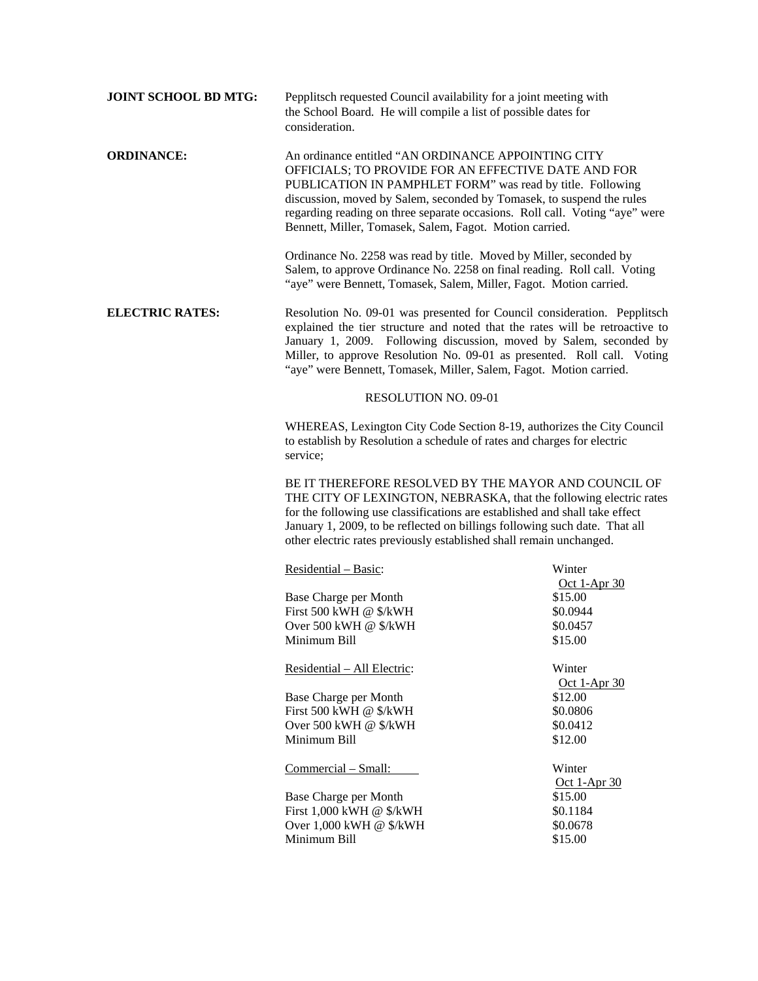**JOINT SCHOOL BD MTG:** Pepplitsch requested Council availability for a joint meeting with the School Board. He will compile a list of possible dates for consideration.

**ORDINANCE:** An ordinance entitled "AN ORDINANCE APPOINTING CITY OFFICIALS; TO PROVIDE FOR AN EFFECTIVE DATE AND FOR PUBLICATION IN PAMPHLET FORM" was read by title. Following discussion, moved by Salem, seconded by Tomasek, to suspend the rules regarding reading on three separate occasions. Roll call. Voting "aye" were Bennett, Miller, Tomasek, Salem, Fagot. Motion carried.

> Ordinance No. 2258 was read by title. Moved by Miller, seconded by Salem, to approve Ordinance No. 2258 on final reading. Roll call. Voting "aye" were Bennett, Tomasek, Salem, Miller, Fagot. Motion carried.

**ELECTRIC RATES:** Resolution No. 09-01 was presented for Council consideration. Pepplitsch explained the tier structure and noted that the rates will be retroactive to January 1, 2009. Following discussion, moved by Salem, seconded by Miller, to approve Resolution No. 09-01 as presented. Roll call. Voting "aye" were Bennett, Tomasek, Miller, Salem, Fagot. Motion carried.

## RESOLUTION NO. 09-01

WHEREAS, Lexington City Code Section 8-19, authorizes the City Council to establish by Resolution a schedule of rates and charges for electric service;

BE IT THEREFORE RESOLVED BY THE MAYOR AND COUNCIL OF THE CITY OF LEXINGTON, NEBRASKA, that the following electric rates for the following use classifications are established and shall take effect January 1, 2009, to be reflected on billings following such date. That all other electric rates previously established shall remain unchanged.

| Residential – Basic:                  | Winter         |
|---------------------------------------|----------------|
|                                       | Oct 1-Apr $30$ |
| Base Charge per Month                 | \$15.00        |
| First 500 kWH @ \$/kWH                | \$0.0944       |
| Over 500 kWH @ $\frac{1}{2}$ /kWH     | \$0.0457       |
| Minimum Bill                          | \$15.00        |
| Residential - All Electric:           | Winter         |
|                                       | Oct 1-Apr $30$ |
| Base Charge per Month                 | \$12.00        |
| First 500 kWH @ $\frac{1}{2}$ /kWH    | \$0.0806       |
| Over 500 kWH @ $\frac{1}{2}$ kWH      | \$0.0412       |
| Minimum Bill                          | \$12.00        |
| Commercial – Small:                   | Winter         |
|                                       | Oct 1-Apr $30$ |
| Base Charge per Month                 | \$15.00        |
| First 1,000 kWH @ \$/kWH              | \$0.1184       |
| Over $1,000$ kWH @ $\frac{1}{2}$ /kWH | \$0.0678       |
| Minimum Bill                          | \$15.00        |
|                                       |                |